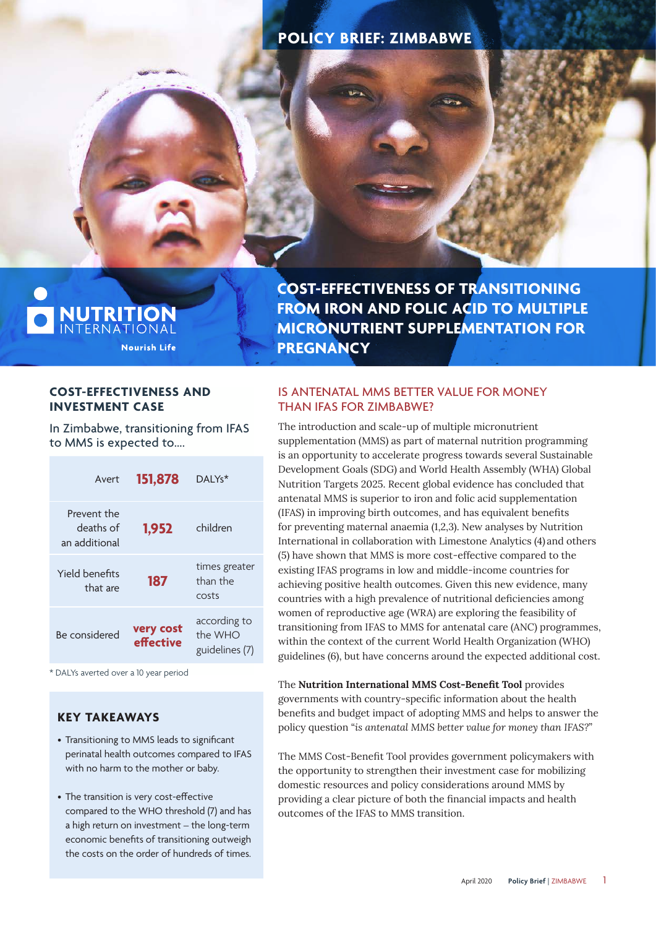# **POLICY BRIEF: ZIMBABWE**

I NUTRITION **Nourish Life**  **COST-EFFECTIVENESS OF TRANSITIONING FROM IRON AND FOLIC ACID TO MULTIPLE MICRONUTRIENT SUPPLEMENTATION FOR PREGNANCY**

## **COST-EFFECTIVENESS AND INVESTMENT CASE**

In Zimbabwe, transitioning from IFAS to MMS is expected to….

| Avert                                     | 151,878                | $DAIYs*$                                  |
|-------------------------------------------|------------------------|-------------------------------------------|
| Prevent the<br>deaths of<br>an additional | 1,952                  | children                                  |
| Yield benefits<br>that are                | 187                    | times greater<br>than the<br>costs        |
| Be considered                             | very cost<br>effective | according to<br>the WHO<br>guidelines (7) |

\* DALYs averted over a 10 year period

# **KEY TAKEAWAYS**

- Transitioning to MMS leads to significant perinatal health outcomes compared to IFAS with no harm to the mother or baby.
- The transition is very cost-effective compared to the WHO threshold (7) and has a high return on investment – the long-term economic benefits of transitioning outweigh the costs on the order of hundreds of times.

# IS ANTENATAL MMS BETTER VALUE FOR MONEY THAN IFAS FOR ZIMBABWE?

The introduction and scale-up of multiple micronutrient supplementation (MMS) as part of maternal nutrition programming is an opportunity to accelerate progress towards several Sustainable Development Goals (SDG) and World Health Assembly (WHA) Global Nutrition Targets 2025. Recent global evidence has concluded that antenatal MMS is superior to iron and folic acid supplementation (IFAS) in improving birth outcomes, and has equivalent benefits for preventing maternal anaemia (1,2,3). New analyses by Nutrition International in collaboration with Limestone Analytics (4) and others (5) have shown that MMS is more cost-effective compared to the existing IFAS programs in low and middle-income countries for achieving positive health outcomes. Given this new evidence, many countries with a high prevalence of nutritional deficiencies among women of reproductive age (WRA) are exploring the feasibility of transitioning from IFAS to MMS for antenatal care (ANC) programmes, within the context of the current World Health Organization (WHO) guidelines (6), but have concerns around the expected additional cost.

The **Nutrition International MMS Cost-Benefit Tool** provides governments with country-specific information about the health benefits and budget impact of adopting MMS and helps to answer the policy question "*is antenatal MMS better value for money than IFAS?*"

The MMS Cost-Benefit Tool provides government policymakers with the opportunity to strengthen their investment case for mobilizing domestic resources and policy considerations around MMS by providing a clear picture of both the financial impacts and health outcomes of the IFAS to MMS transition.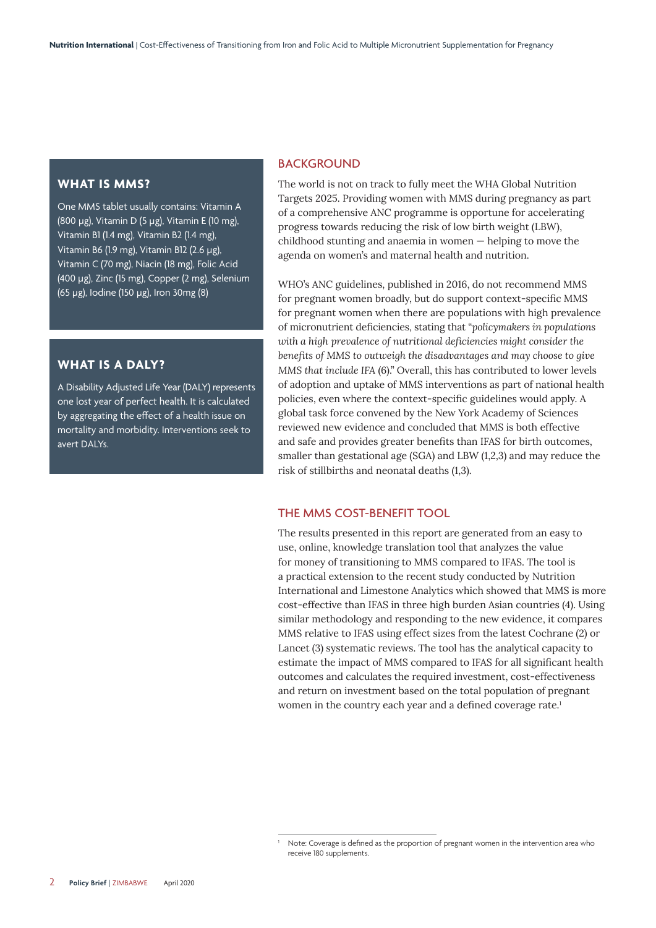#### **WHAT IS MMS?**

One MMS tablet usually contains: Vitamin A (800 µg), Vitamin D (5 µg), Vitamin E (10 mg), Vitamin B1 (1.4 mg), Vitamin B2 (1.4 mg), Vitamin B6 (1.9 mg), Vitamin B12 (2.6 µg), Vitamin C (70 mg), Niacin (18 mg), Folic Acid (400 µg), Zinc (15 mg), Copper (2 mg), Selenium (65 µg), Iodine (150 µg), Iron 30mg (8)

#### **WHAT IS A DALY?**

A Disability Adjusted Life Year (DALY) represents one lost year of perfect health. It is calculated by aggregating the effect of a health issue on mortality and morbidity. Interventions seek to avert DALYs.

#### **BACKGROUND**

The world is not on track to fully meet the WHA Global Nutrition Targets 2025. Providing women with MMS during pregnancy as part of a comprehensive ANC programme is opportune for accelerating progress towards reducing the risk of low birth weight (LBW), childhood stunting and anaemia in women — helping to move the agenda on women's and maternal health and nutrition.

WHO's ANC guidelines, published in 2016, do not recommend MMS for pregnant women broadly, but do support context-specific MMS for pregnant women when there are populations with high prevalence of micronutrient deficiencies, stating that "*policymakers in populations with a high prevalence of nutritional deficiencies might consider the benefits of MMS to outweigh the disadvantages and may choose to give MMS that include IFA* (6)." Overall, this has contributed to lower levels of adoption and uptake of MMS interventions as part of national health policies, even where the context-specific guidelines would apply. A global task force convened by the New York Academy of Sciences reviewed new evidence and concluded that MMS is both effective and safe and provides greater benefits than IFAS for birth outcomes, smaller than gestational age (SGA) and LBW (1,2,3) and may reduce the risk of stillbirths and neonatal deaths (1,3).

#### THE MMS COST-BENEFIT TOOL

1

The results presented in this report are generated from an easy to use, online, knowledge translation tool that analyzes the value for money of transitioning to MMS compared to IFAS. The tool is a practical extension to the recent study conducted by Nutrition International and Limestone Analytics which showed that MMS is more cost-effective than IFAS in three high burden Asian countries (4). Using similar methodology and responding to the new evidence, it compares MMS relative to IFAS using effect sizes from the latest Cochrane (2) or Lancet (3) systematic reviews. The tool has the analytical capacity to estimate the impact of MMS compared to IFAS for all significant health outcomes and calculates the required investment, cost-effectiveness and return on investment based on the total population of pregnant women in the country each year and a defined coverage rate.<sup>1</sup>

Note: Coverage is defined as the proportion of pregnant women in the intervention area who receive 180 supplements.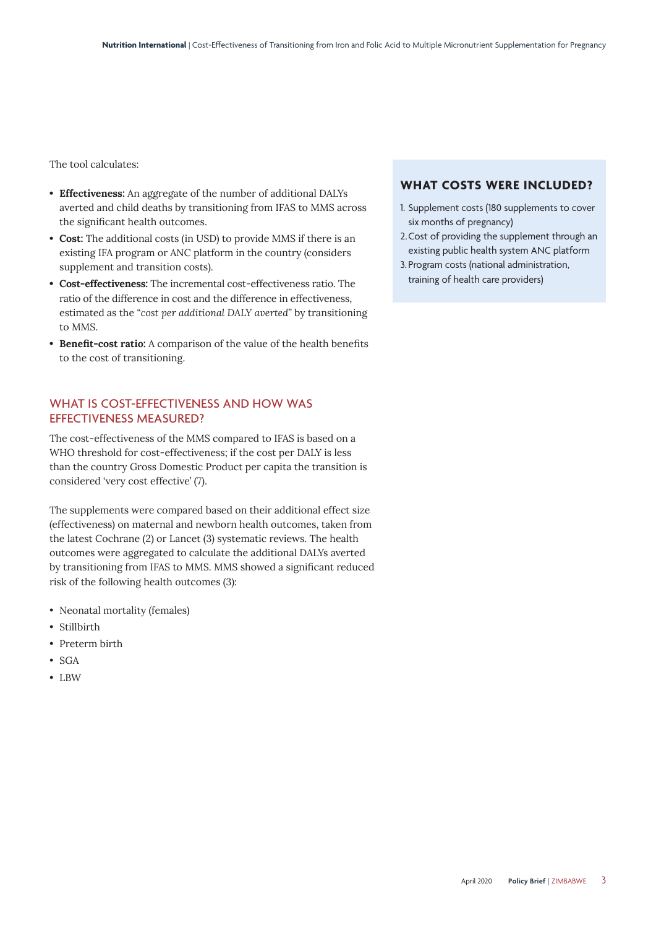The tool calculates:

- **Effectiveness:** An aggregate of the number of additional DALYs averted and child deaths by transitioning from IFAS to MMS across the significant health outcomes.
- **Cost:** The additional costs (in USD) to provide MMS if there is an existing IFA program or ANC platform in the country (considers supplement and transition costs).
- **Cost-effectiveness:** The incremental cost-effectiveness ratio. The ratio of the difference in cost and the difference in effectiveness, estimated as the "*cost per additional DALY averted*" by transitioning to MMS.
- **Benefit-cost ratio:** A comparison of the value of the health benefits to the cost of transitioning.

## WHAT IS COST-EFFECTIVENESS AND HOW WAS EFFECTIVENESS MEASURED?

The cost-effectiveness of the MMS compared to IFAS is based on a WHO threshold for cost-effectiveness; if the cost per DALY is less than the country Gross Domestic Product per capita the transition is considered 'very cost effective' (7).

The supplements were compared based on their additional effect size (effectiveness) on maternal and newborn health outcomes, taken from the latest Cochrane (2) or Lancet (3) systematic reviews. The health outcomes were aggregated to calculate the additional DALYs averted by transitioning from IFAS to MMS. MMS showed a significant reduced risk of the following health outcomes (3):

- Neonatal mortality (females)
- Stillbirth
- Preterm birth
- SGA
- LBW

#### **WHAT COSTS WERE INCLUDED?**

- 1. Supplement costs (180 supplements to cover six months of pregnancy)
- 2. Cost of providing the supplement through an existing public health system ANC platform
- 3. Program costs (national administration, training of health care providers)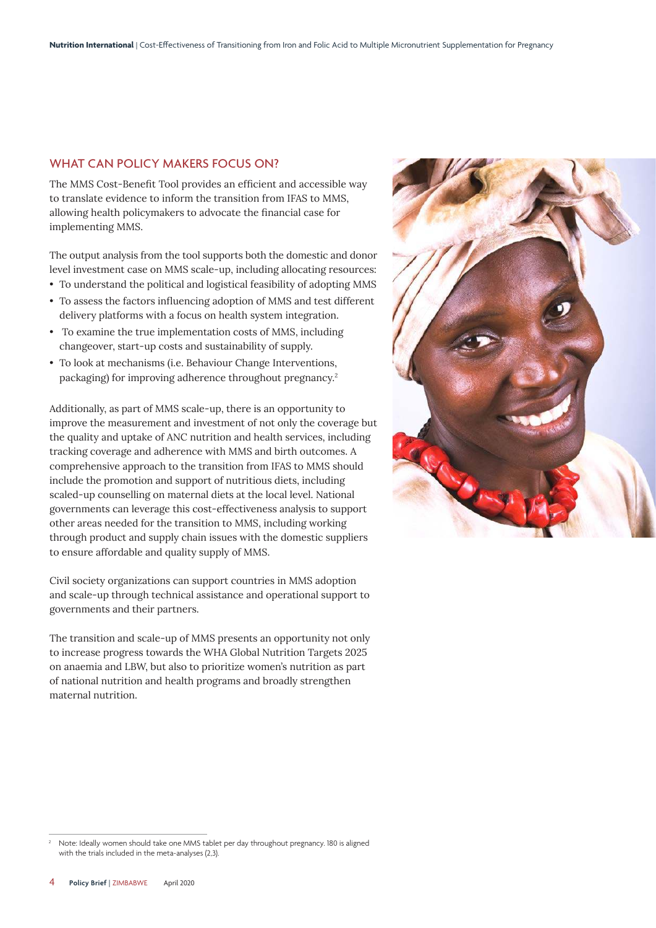#### WHAT CAN POLICY MAKERS FOCUS ON?

The MMS Cost-Benefit Tool provides an efficient and accessible way to translate evidence to inform the transition from IFAS to MMS, allowing health policymakers to advocate the financial case for implementing MMS.

The output analysis from the tool supports both the domestic and donor level investment case on MMS scale-up, including allocating resources:

- To understand the political and logistical feasibility of adopting MMS
- To assess the factors influencing adoption of MMS and test different delivery platforms with a focus on health system integration.
- To examine the true implementation costs of MMS, including changeover, start-up costs and sustainability of supply.
- To look at mechanisms (i.e. Behaviour Change Interventions, packaging) for improving adherence throughout pregnancy.<sup>2</sup>

Additionally, as part of MMS scale-up, there is an opportunity to improve the measurement and investment of not only the coverage but the quality and uptake of ANC nutrition and health services, including tracking coverage and adherence with MMS and birth outcomes. A comprehensive approach to the transition from IFAS to MMS should include the promotion and support of nutritious diets, including scaled-up counselling on maternal diets at the local level. National governments can leverage this cost-effectiveness analysis to support other areas needed for the transition to MMS, including working through product and supply chain issues with the domestic suppliers to ensure affordable and quality supply of MMS.

Civil society organizations can support countries in MMS adoption and scale-up through technical assistance and operational support to governments and their partners.

The transition and scale-up of MMS presents an opportunity not only to increase progress towards the WHA Global Nutrition Targets 2025 on anaemia and LBW, but also to prioritize women's nutrition as part of national nutrition and health programs and broadly strengthen maternal nutrition.



<sup>2</sup> Note: Ideally women should take one MMS tablet per day throughout pregnancy. 180 is aligned with the trials included in the meta-analyses (2,3).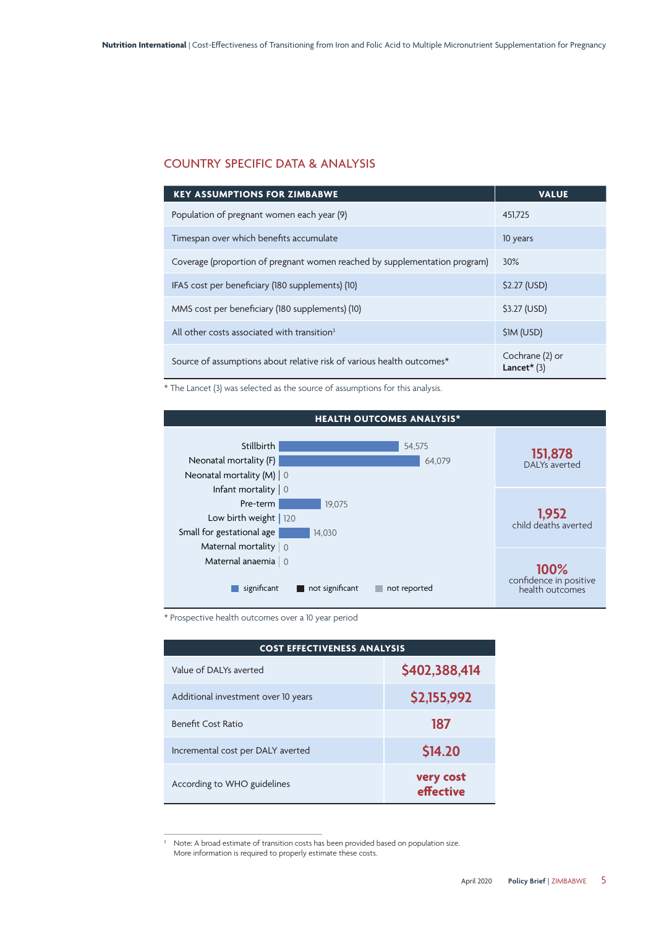## COUNTRY SPECIFIC DATA & ANALYSIS

| <b>KEY ASSUMPTIONS FOR ZIMBABWE</b>                                        | <b>VALUE</b>                     |
|----------------------------------------------------------------------------|----------------------------------|
| Population of pregnant women each year (9)                                 | 451.725                          |
| Timespan over which benefits accumulate                                    | 10 years                         |
| Coverage (proportion of pregnant women reached by supplementation program) | 30%                              |
| IFAS cost per beneficiary (180 supplements) (10)                           | \$2.27 (USD)                     |
| MMS cost per beneficiary (180 supplements) (10)                            | \$3.27 (USD)                     |
| All other costs associated with transition <sup>3</sup>                    | \$1M (USD)                       |
| Source of assumptions about relative risk of various health outcomes*      | Cochrane (2) or<br>Lancet $*(3)$ |

\* The Lancet (3) was selected as the source of assumptions for this analysis.



\* Prospective health outcomes over a 10 year period

| <b>COST EFFECTIVENESS ANALYSIS</b>  |                        |  |
|-------------------------------------|------------------------|--|
| Value of DAI Ys averted             | \$402,388,414          |  |
| Additional investment over 10 years | \$2,155,992            |  |
| <b>Benefit Cost Ratio</b>           | 187                    |  |
| Incremental cost per DALY averted   | \$14.20                |  |
| According to WHO guidelines         | very cost<br>effective |  |

<sup>&</sup>lt;sup>3</sup> Note: A broad estimate of transition costs has been provided based on population size. More information is required to properly estimate these costs.